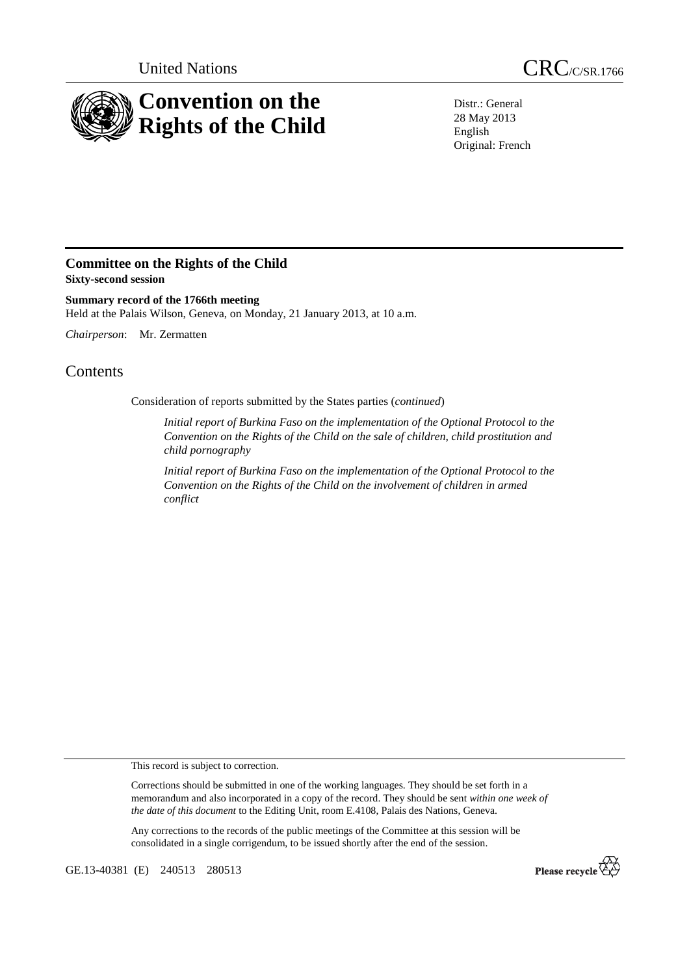

Distr.: General 28 May 2013 English Original: French

## **Committee on the Rights of the Child Sixty-second session**

**Summary record of the 1766th meeting**  Held at the Palais Wilson, Geneva, on Monday, 21 January 2013, at 10 a.m.

*Chairperson*: Mr. Zermatten

## **Contents**

Consideration of reports submitted by the States parties (*continued*)

*Initial report of Burkina Faso on the implementation of the Optional Protocol to the Convention on the Rights of the Child on the sale of children, child prostitution and child pornography* 

*Initial report of Burkina Faso on the implementation of the Optional Protocol to the Convention on the Rights of the Child on the involvement of children in armed conflict* 

This record is subject to correction.

Corrections should be submitted in one of the working languages. They should be set forth in a memorandum and also incorporated in a copy of the record. They should be sent *within one week of the date of this document* to the Editing Unit, room E.4108, Palais des Nations, Geneva.

Any corrections to the records of the public meetings of the Committee at this session will be consolidated in a single corrigendum, to be issued shortly after the end of the session.

GE.13-40381 (E) 240513 280513

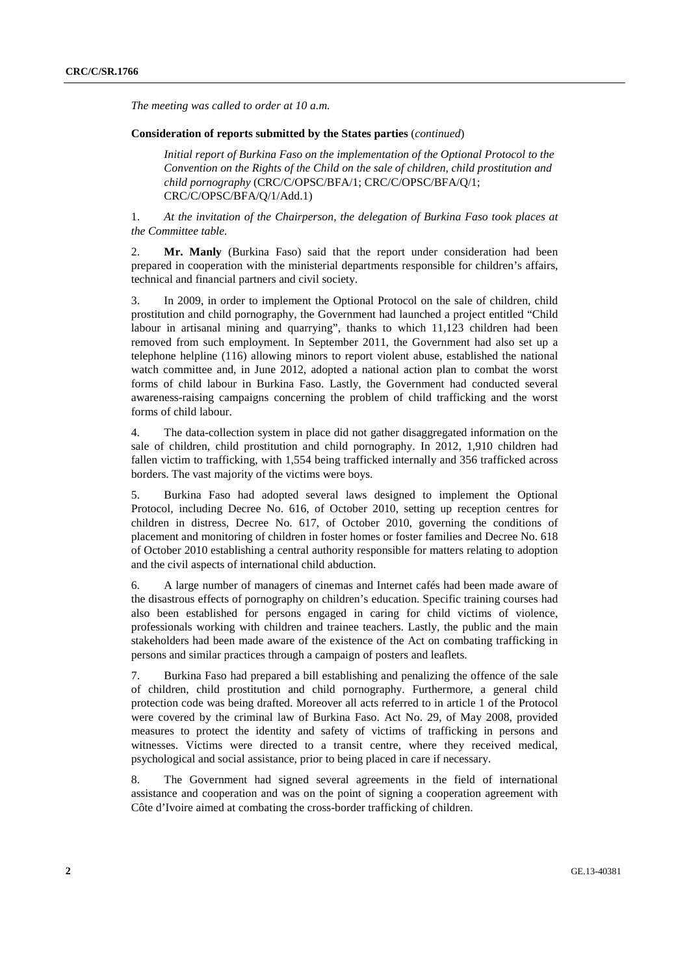*The meeting was called to order at 10 a.m.* 

## **Consideration of reports submitted by the States parties** (*continued*)

*Initial report of Burkina Faso on the implementation of the Optional Protocol to the Convention on the Rights of the Child on the sale of children, child prostitution and child pornography* (CRC/C/OPSC/BFA/1; CRC/C/OPSC/BFA/Q/1; CRC/C/OPSC/BFA/Q/1/Add.1)

1. *At the invitation of the Chairperson, the delegation of Burkina Faso took places at the Committee table.* 

2. **Mr. Manly** (Burkina Faso) said that the report under consideration had been prepared in cooperation with the ministerial departments responsible for children's affairs, technical and financial partners and civil society.

3. In 2009, in order to implement the Optional Protocol on the sale of children, child prostitution and child pornography, the Government had launched a project entitled "Child labour in artisanal mining and quarrying", thanks to which 11,123 children had been removed from such employment. In September 2011, the Government had also set up a telephone helpline (116) allowing minors to report violent abuse, established the national watch committee and, in June 2012, adopted a national action plan to combat the worst forms of child labour in Burkina Faso. Lastly, the Government had conducted several awareness-raising campaigns concerning the problem of child trafficking and the worst forms of child labour.

4. The data-collection system in place did not gather disaggregated information on the sale of children, child prostitution and child pornography. In 2012, 1,910 children had fallen victim to trafficking, with 1,554 being trafficked internally and 356 trafficked across borders. The vast majority of the victims were boys.

5. Burkina Faso had adopted several laws designed to implement the Optional Protocol, including Decree No. 616, of October 2010, setting up reception centres for children in distress, Decree No. 617, of October 2010, governing the conditions of placement and monitoring of children in foster homes or foster families and Decree No. 618 of October 2010 establishing a central authority responsible for matters relating to adoption and the civil aspects of international child abduction.

6. A large number of managers of cinemas and Internet cafés had been made aware of the disastrous effects of pornography on children's education. Specific training courses had also been established for persons engaged in caring for child victims of violence, professionals working with children and trainee teachers. Lastly, the public and the main stakeholders had been made aware of the existence of the Act on combating trafficking in persons and similar practices through a campaign of posters and leaflets.

7. Burkina Faso had prepared a bill establishing and penalizing the offence of the sale of children, child prostitution and child pornography. Furthermore, a general child protection code was being drafted. Moreover all acts referred to in article 1 of the Protocol were covered by the criminal law of Burkina Faso. Act No. 29, of May 2008, provided measures to protect the identity and safety of victims of trafficking in persons and witnesses. Victims were directed to a transit centre, where they received medical, psychological and social assistance, prior to being placed in care if necessary.

8. The Government had signed several agreements in the field of international assistance and cooperation and was on the point of signing a cooperation agreement with Côte d'Ivoire aimed at combating the cross-border trafficking of children.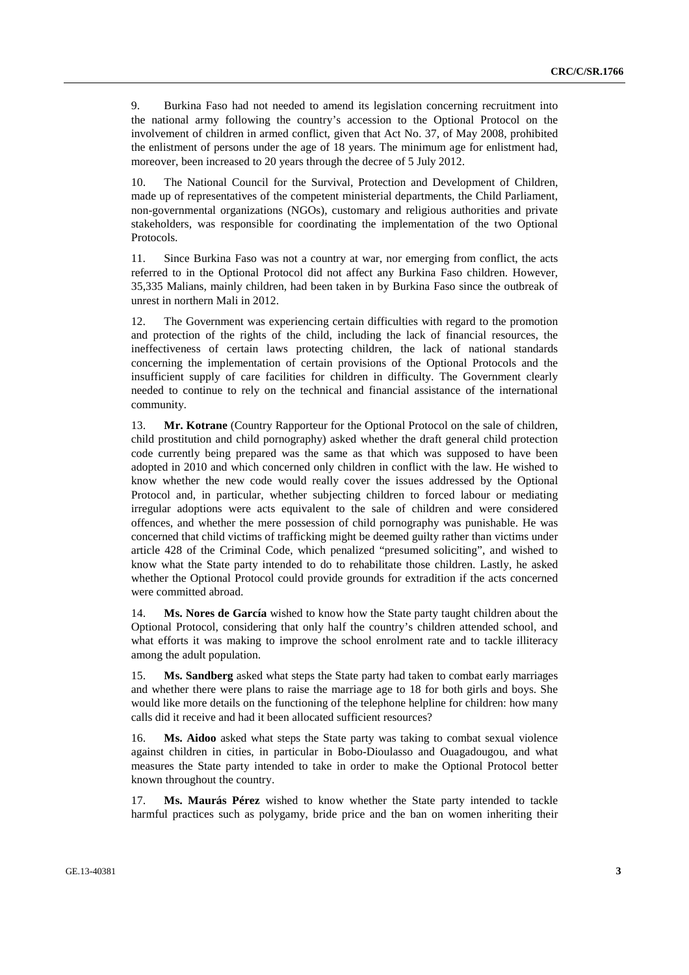9. Burkina Faso had not needed to amend its legislation concerning recruitment into the national army following the country's accession to the Optional Protocol on the involvement of children in armed conflict, given that Act No. 37, of May 2008, prohibited the enlistment of persons under the age of 18 years. The minimum age for enlistment had, moreover, been increased to 20 years through the decree of 5 July 2012.

10. The National Council for the Survival, Protection and Development of Children, made up of representatives of the competent ministerial departments, the Child Parliament, non-governmental organizations (NGOs), customary and religious authorities and private stakeholders, was responsible for coordinating the implementation of the two Optional Protocols.

11. Since Burkina Faso was not a country at war, nor emerging from conflict, the acts referred to in the Optional Protocol did not affect any Burkina Faso children. However, 35,335 Malians, mainly children, had been taken in by Burkina Faso since the outbreak of unrest in northern Mali in 2012.

12. The Government was experiencing certain difficulties with regard to the promotion and protection of the rights of the child, including the lack of financial resources, the ineffectiveness of certain laws protecting children, the lack of national standards concerning the implementation of certain provisions of the Optional Protocols and the insufficient supply of care facilities for children in difficulty. The Government clearly needed to continue to rely on the technical and financial assistance of the international community.

13. **Mr. Kotrane** (Country Rapporteur for the Optional Protocol on the sale of children, child prostitution and child pornography) asked whether the draft general child protection code currently being prepared was the same as that which was supposed to have been adopted in 2010 and which concerned only children in conflict with the law. He wished to know whether the new code would really cover the issues addressed by the Optional Protocol and, in particular, whether subjecting children to forced labour or mediating irregular adoptions were acts equivalent to the sale of children and were considered offences, and whether the mere possession of child pornography was punishable. He was concerned that child victims of trafficking might be deemed guilty rather than victims under article 428 of the Criminal Code, which penalized "presumed soliciting", and wished to know what the State party intended to do to rehabilitate those children. Lastly, he asked whether the Optional Protocol could provide grounds for extradition if the acts concerned were committed abroad.

14. **Ms. Nores de García** wished to know how the State party taught children about the Optional Protocol, considering that only half the country's children attended school, and what efforts it was making to improve the school enrolment rate and to tackle illiteracy among the adult population.

15. **Ms. Sandberg** asked what steps the State party had taken to combat early marriages and whether there were plans to raise the marriage age to 18 for both girls and boys. She would like more details on the functioning of the telephone helpline for children: how many calls did it receive and had it been allocated sufficient resources?

16. **Ms. Aidoo** asked what steps the State party was taking to combat sexual violence against children in cities, in particular in Bobo-Dioulasso and Ouagadougou, and what measures the State party intended to take in order to make the Optional Protocol better known throughout the country.

17. **Ms. Maurás Pérez** wished to know whether the State party intended to tackle harmful practices such as polygamy, bride price and the ban on women inheriting their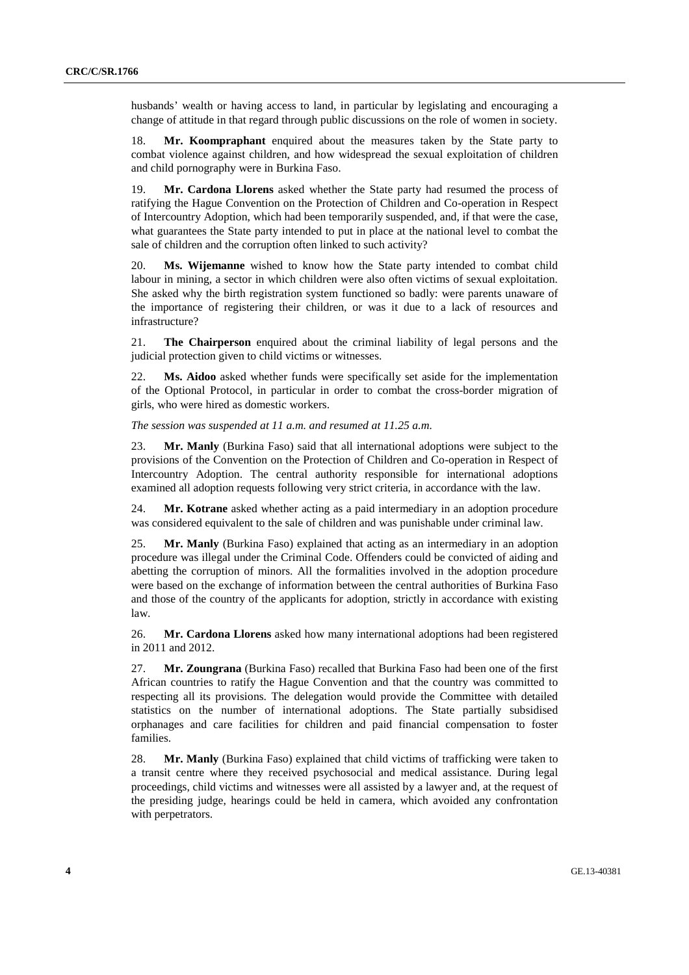husbands' wealth or having access to land, in particular by legislating and encouraging a change of attitude in that regard through public discussions on the role of women in society.

18. **Mr. Koompraphant** enquired about the measures taken by the State party to combat violence against children, and how widespread the sexual exploitation of children and child pornography were in Burkina Faso.

19. **Mr. Cardona Llorens** asked whether the State party had resumed the process of ratifying the Hague Convention on the Protection of Children and Co-operation in Respect of Intercountry Adoption, which had been temporarily suspended, and, if that were the case, what guarantees the State party intended to put in place at the national level to combat the sale of children and the corruption often linked to such activity?

20. **Ms. Wijemanne** wished to know how the State party intended to combat child labour in mining, a sector in which children were also often victims of sexual exploitation. She asked why the birth registration system functioned so badly: were parents unaware of the importance of registering their children, or was it due to a lack of resources and infrastructure?

21. **The Chairperson** enquired about the criminal liability of legal persons and the judicial protection given to child victims or witnesses.

22. **Ms. Aidoo** asked whether funds were specifically set aside for the implementation of the Optional Protocol, in particular in order to combat the cross-border migration of girls, who were hired as domestic workers.

*The session was suspended at 11 a.m. and resumed at 11.25 a.m.* 

23. **Mr. Manly** (Burkina Faso) said that all international adoptions were subject to the provisions of the Convention on the Protection of Children and Co-operation in Respect of Intercountry Adoption. The central authority responsible for international adoptions examined all adoption requests following very strict criteria, in accordance with the law.

24. **Mr. Kotrane** asked whether acting as a paid intermediary in an adoption procedure was considered equivalent to the sale of children and was punishable under criminal law.

25. **Mr. Manly** (Burkina Faso) explained that acting as an intermediary in an adoption procedure was illegal under the Criminal Code. Offenders could be convicted of aiding and abetting the corruption of minors. All the formalities involved in the adoption procedure were based on the exchange of information between the central authorities of Burkina Faso and those of the country of the applicants for adoption, strictly in accordance with existing law.

26. **Mr. Cardona Llorens** asked how many international adoptions had been registered in 2011 and 2012.

27. **Mr. Zoungrana** (Burkina Faso) recalled that Burkina Faso had been one of the first African countries to ratify the Hague Convention and that the country was committed to respecting all its provisions. The delegation would provide the Committee with detailed statistics on the number of international adoptions. The State partially subsidised orphanages and care facilities for children and paid financial compensation to foster families.

28. **Mr. Manly** (Burkina Faso) explained that child victims of trafficking were taken to a transit centre where they received psychosocial and medical assistance. During legal proceedings, child victims and witnesses were all assisted by a lawyer and, at the request of the presiding judge, hearings could be held in camera, which avoided any confrontation with perpetrators.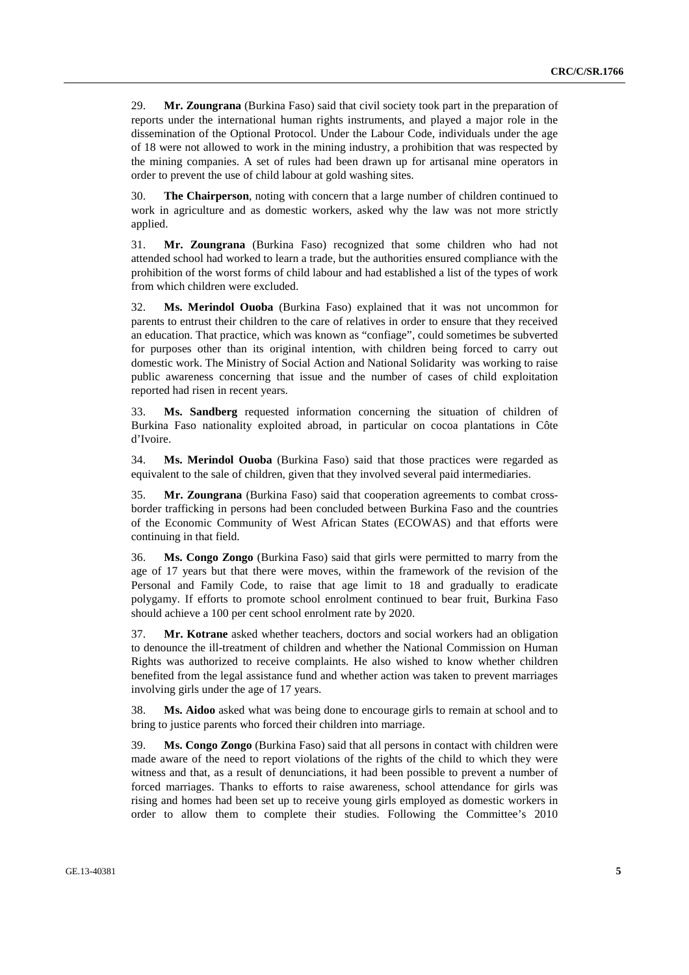29. **Mr. Zoungrana** (Burkina Faso) said that civil society took part in the preparation of reports under the international human rights instruments, and played a major role in the dissemination of the Optional Protocol. Under the Labour Code, individuals under the age of 18 were not allowed to work in the mining industry, a prohibition that was respected by the mining companies. A set of rules had been drawn up for artisanal mine operators in order to prevent the use of child labour at gold washing sites.

30. **The Chairperson**, noting with concern that a large number of children continued to work in agriculture and as domestic workers, asked why the law was not more strictly applied.

31. **Mr. Zoungrana** (Burkina Faso) recognized that some children who had not attended school had worked to learn a trade, but the authorities ensured compliance with the prohibition of the worst forms of child labour and had established a list of the types of work from which children were excluded.

32. **Ms. Merindol Ouoba** (Burkina Faso) explained that it was not uncommon for parents to entrust their children to the care of relatives in order to ensure that they received an education. That practice, which was known as "confiage", could sometimes be subverted for purposes other than its original intention, with children being forced to carry out domestic work. The Ministry of Social Action and National Solidarity was working to raise public awareness concerning that issue and the number of cases of child exploitation reported had risen in recent years.

33. **Ms. Sandberg** requested information concerning the situation of children of Burkina Faso nationality exploited abroad, in particular on cocoa plantations in Côte d'Ivoire.

34. **Ms. Merindol Ouoba** (Burkina Faso) said that those practices were regarded as equivalent to the sale of children, given that they involved several paid intermediaries.

35. **Mr. Zoungrana** (Burkina Faso) said that cooperation agreements to combat crossborder trafficking in persons had been concluded between Burkina Faso and the countries of the Economic Community of West African States (ECOWAS) and that efforts were continuing in that field.

36. **Ms. Congo Zongo** (Burkina Faso) said that girls were permitted to marry from the age of 17 years but that there were moves, within the framework of the revision of the Personal and Family Code, to raise that age limit to 18 and gradually to eradicate polygamy. If efforts to promote school enrolment continued to bear fruit, Burkina Faso should achieve a 100 per cent school enrolment rate by 2020.

37. **Mr. Kotrane** asked whether teachers, doctors and social workers had an obligation to denounce the ill-treatment of children and whether the National Commission on Human Rights was authorized to receive complaints. He also wished to know whether children benefited from the legal assistance fund and whether action was taken to prevent marriages involving girls under the age of 17 years.

38. **Ms. Aidoo** asked what was being done to encourage girls to remain at school and to bring to justice parents who forced their children into marriage.

39. **Ms. Congo Zongo** (Burkina Faso) said that all persons in contact with children were made aware of the need to report violations of the rights of the child to which they were witness and that, as a result of denunciations, it had been possible to prevent a number of forced marriages. Thanks to efforts to raise awareness, school attendance for girls was rising and homes had been set up to receive young girls employed as domestic workers in order to allow them to complete their studies. Following the Committee's 2010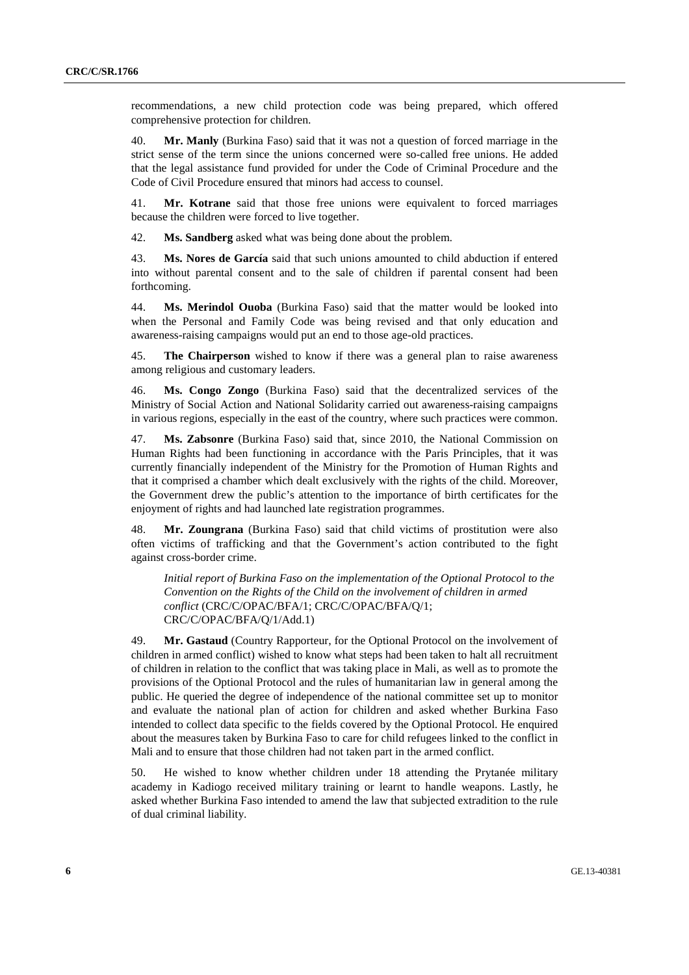recommendations, a new child protection code was being prepared, which offered comprehensive protection for children.

40. **Mr. Manly** (Burkina Faso) said that it was not a question of forced marriage in the strict sense of the term since the unions concerned were so-called free unions. He added that the legal assistance fund provided for under the Code of Criminal Procedure and the Code of Civil Procedure ensured that minors had access to counsel.

41. **Mr. Kotrane** said that those free unions were equivalent to forced marriages because the children were forced to live together.

42. **Ms. Sandberg** asked what was being done about the problem.

43. **Ms. Nores de García** said that such unions amounted to child abduction if entered into without parental consent and to the sale of children if parental consent had been forthcoming.

44. **Ms. Merindol Ouoba** (Burkina Faso) said that the matter would be looked into when the Personal and Family Code was being revised and that only education and awareness-raising campaigns would put an end to those age-old practices.

45. **The Chairperson** wished to know if there was a general plan to raise awareness among religious and customary leaders.

46. **Ms. Congo Zongo** (Burkina Faso) said that the decentralized services of the Ministry of Social Action and National Solidarity carried out awareness-raising campaigns in various regions, especially in the east of the country, where such practices were common.

47. **Ms. Zabsonre** (Burkina Faso) said that, since 2010, the National Commission on Human Rights had been functioning in accordance with the Paris Principles, that it was currently financially independent of the Ministry for the Promotion of Human Rights and that it comprised a chamber which dealt exclusively with the rights of the child. Moreover, the Government drew the public's attention to the importance of birth certificates for the enjoyment of rights and had launched late registration programmes.

48. **Mr. Zoungrana** (Burkina Faso) said that child victims of prostitution were also often victims of trafficking and that the Government's action contributed to the fight against cross-border crime.

*Initial report of Burkina Faso on the implementation of the Optional Protocol to the Convention on the Rights of the Child on the involvement of children in armed conflict* (CRC/C/OPAC/BFA/1; CRC/C/OPAC/BFA/Q/1; CRC/C/OPAC/BFA/Q/1/Add.1)

49. **Mr. Gastaud** (Country Rapporteur, for the Optional Protocol on the involvement of children in armed conflict) wished to know what steps had been taken to halt all recruitment of children in relation to the conflict that was taking place in Mali, as well as to promote the provisions of the Optional Protocol and the rules of humanitarian law in general among the public. He queried the degree of independence of the national committee set up to monitor and evaluate the national plan of action for children and asked whether Burkina Faso intended to collect data specific to the fields covered by the Optional Protocol. He enquired about the measures taken by Burkina Faso to care for child refugees linked to the conflict in Mali and to ensure that those children had not taken part in the armed conflict.

50. He wished to know whether children under 18 attending the Prytanée military academy in Kadiogo received military training or learnt to handle weapons. Lastly, he asked whether Burkina Faso intended to amend the law that subjected extradition to the rule of dual criminal liability.